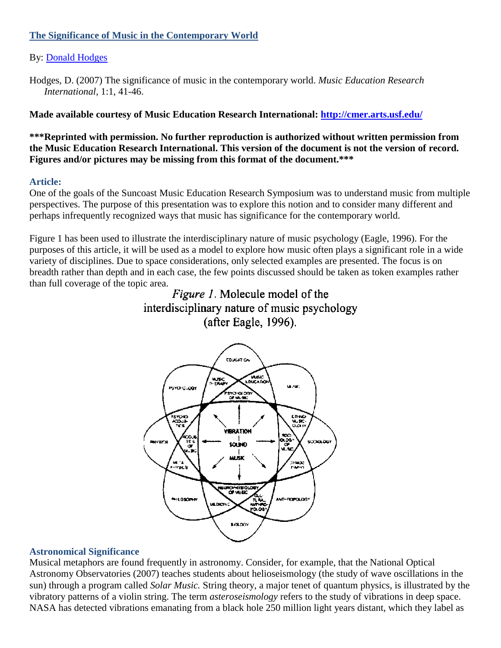## **The Significance of Music in the Contemporary World**

# By: [Donald Hodges](http://libres.uncg.edu/ir/uncg/clist.aspx?id=2915)

**Made available courtesy of Music Education Research International:<http://cmer.arts.usf.edu/>**

**\*\*\*Reprinted with permission. No further reproduction is authorized without written permission from the Music Education Research International. This version of the document is not the version of record. Figures and/or pictures may be missing from this format of the document.\*\*\***

## **Article:**

One of the goals of the Suncoast Music Education Research Symposium was to understand music from multiple perspectives. The purpose of this presentation was to explore this notion and to consider many different and perhaps infrequently recognized ways that music has significance for the contemporary world.

Figure 1 has been used to illustrate the interdisciplinary nature of music psychology (Eagle, 1996). For the purposes of this article, it will be used as a model to explore how music often plays a significant role in a wide variety of disciplines. Due to space considerations, only selected examples are presented. The focus is on breadth rather than depth and in each case, the few points discussed should be taken as token examples rather than full coverage of the topic area.





#### **Astronomical Significance**

Musical metaphors are found frequently in astronomy. Consider, for example, that the National Optical Astronomy Observatories (2007) teaches students about helioseismology (the study of wave oscillations in the sun) through a program called *Solar Music.* String theory, a major tenet of quantum physics, is illustrated by the vibratory patterns of a violin string. The term *asteroseismology* refers to the study of vibrations in deep space. NASA has detected vibrations emanating from a black hole 250 million light years distant, which they label as

Hodges, D. (2007) The significance of music in the contemporary world. *Music Education Research International*, 1:1, 41-46.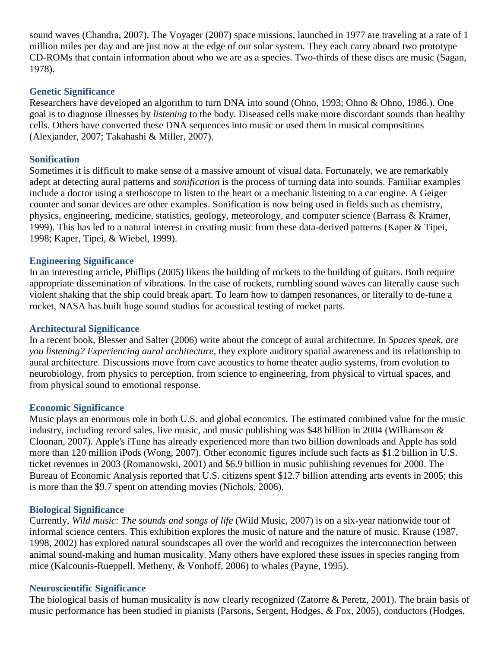sound waves (Chandra, 2007). The Voyager (2007) space missions, launched in 1977 are traveling at a rate of 1 million miles per day and are just now at the edge of our solar system. They each carry aboard two prototype CD-ROMs that contain information about who we are as a species. Two-thirds of these discs are music (Sagan, 1978).

### **Genetic Significance**

Researchers have developed an algorithm to turn DNA into sound (Ohno, 1993; Ohno & Ohno, 1986.). One goal is to diagnose illnesses by *listening* to the body. Diseased cells make more discordant sounds than healthy cells. Others have converted these DNA sequences into music or used them in musical compositions (Alexjander, 2007; Takahashi & Miller, 2007).

## **Sonification**

Sometimes it is difficult to make sense of a massive amount of visual data. Fortunately, we are remarkably adept at detecting aural patterns and *sonification* is the process of turning data into sounds. Familiar examples include a doctor using a stethoscope to listen to the heart or a mechanic listening to a car engine. A Geiger counter and sonar devices are other examples. Sonification is now being used in fields such as chemistry, physics, engineering, medicine, statistics, geology, meteorology, and computer science (Barrass & Kramer, 1999). This has led to a natural interest in creating music from these data-derived patterns (Kaper & Tipei, 1998; Kaper, Tipei, & Wiebel, 1999).

#### **Engineering Significance**

In an interesting article, Phillips (2005) likens the building of rockets to the building of guitars. Both require appropriate dissemination of vibrations. In the case of rockets, rumbling sound waves can literally cause such violent shaking that the ship could break apart. To learn how to dampen resonances, or literally to de-tune a rocket, NASA has built huge sound studios for acoustical testing of rocket parts.

#### **Architectural Significance**

In a recent book, Blesser and Salter (2006) write about the concept of aural architecture. In *Spaces speak, are you listening? Experiencing aural architecture,* they explore auditory spatial awareness and its relationship to aural architecture. Discussions move from cave acoustics to home theater audio systems, from evolution to neurobiology, from physics to perception, from science to engineering, from physical to virtual spaces, and from physical sound to emotional response.

#### **Economic Significance**

Music plays an enormous role in both U.S. and global economics. The estimated combined value for the music industry, including record sales, live music, and music publishing was \$48 billion in 2004 (Williamson & Cloonan, 2007). Apple's iTune has already experienced more than two billion downloads and Apple has sold more than 120 million iPods (Wong, 2007). Other economic figures include such facts as \$1.2 billion in U.S. ticket revenues in 2003 (Romanowski, 2001) and \$6.9 billion in music publishing revenues for 2000. The Bureau of Economic Analysis reported that U.S. citizens spent \$12.7 billion attending arts events in 2005; this is more than the \$9.7 spent on attending movies (Nichols, 2006).

#### **Biological Significance**

Currently, *Wild music: The sounds and songs of life* (Wild Music, 2007) is on a six-year nationwide tour of informal science centers. This exhibition explores the music of nature and the nature of music. Krause (1987, 1998, 2002) has explored natural soundscapes all over the world and recognizes the interconnection between animal sound-making and human musicality. Many others have explored these issues in species ranging from mice (Kalcounis-Rueppell, Metheny, & Vonhoff, 2006) to whales (Payne, 1995).

#### **Neuroscientific Significance**

The biological basis of human musicality is now clearly recognized (Zatorre & Peretz, 2001). The brain basis of music performance has been studied in pianists (Parsons, Sergent, Hodges, *&* Fox, 2005), conductors (Hodges,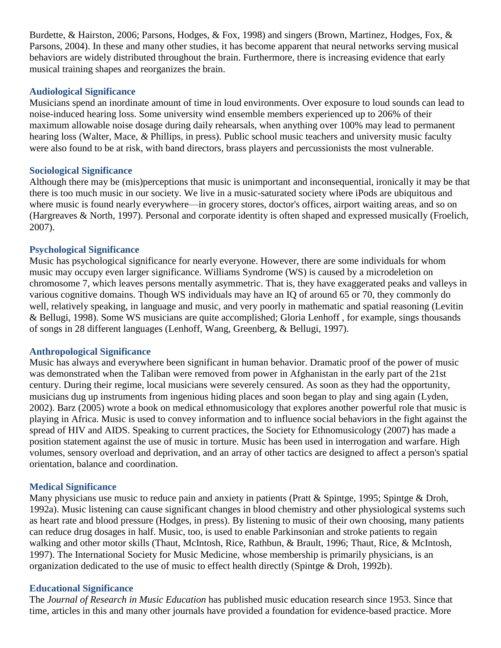Burdette, & Hairston, 2006; Parsons, Hodges, & Fox, 1998) and singers (Brown, Martinez, Hodges, Fox, & Parsons, 2004). In these and many other studies, it has become apparent that neural networks serving musical behaviors are widely distributed throughout the brain. Furthermore, there is increasing evidence that early musical training shapes and reorganizes the brain.

### **Audiological Significance**

Musicians spend an inordinate amount of time in loud environments. Over exposure to loud sounds can lead to noise-induced hearing loss. Some university wind ensemble members experienced up to 206% of their maximum allowable noise dosage during daily rehearsals, when anything over 100% may lead to permanent hearing loss (Walter, Mace, *&* Phillips, in press). Public school music teachers and university music faculty were also found to be at risk, with band directors, brass players and percussionists the most vulnerable.

## **Sociological Significance**

Although there may be (mis)perceptions that music is unimportant and inconsequential, ironically it may be that there is too much music in our society. We live in a music-saturated society where iPods are ubiquitous and where music is found nearly everywhere—in grocery stores, doctor's offices, airport waiting areas, and so on (Hargreaves & North, 1997). Personal and corporate identity is often shaped and expressed musically (Froelich, 2007).

## **Psychological Significance**

Music has psychological significance for nearly everyone. However, there are some individuals for whom music may occupy even larger significance. Williams Syndrome (WS) is caused by a microdeletion on chromosome 7, which leaves persons mentally asymmetric. That is, they have exaggerated peaks and valleys in various cognitive domains. Though WS individuals may have an IQ of around 65 or 70, they commonly do well, relatively speaking, in language and music, and very poorly in mathematic and spatial reasoning (Levitin & Bellugi, 1998). Some WS musicians are quite accomplished; Gloria Lenhoff , for example, sings thousands of songs in 28 different languages (Lenhoff, Wang, Greenberg, & Bellugi, 1997).

#### **Anthropological Significance**

Music has always and everywhere been significant in human behavior. Dramatic proof of the power of music was demonstrated when the Taliban were removed from power in Afghanistan in the early part of the 21st century. During their regime, local musicians were severely censured. As soon as they had the opportunity, musicians dug up instruments from ingenious hiding places and soon began to play and sing again (Lyden, 2002). Barz (2005) wrote a book on medical ethnomusicology that explores another powerful role that music is playing in Africa. Music is used to convey information and to influence social behaviors in the fight against the spread of HIV and AIDS. Speaking to current practices, the Society for Ethnomusicology (2007) has made a position statement against the use of music in torture. Music has been used in interrogation and warfare. High volumes, sensory overload and deprivation, and an array of other tactics are designed to affect a person's spatial orientation, balance and coordination.

## **Medical Significance**

Many physicians use music to reduce pain and anxiety in patients (Pratt & Spintge, 1995; Spintge & Droh, 1992a). Music listening can cause significant changes in blood chemistry and other physiological systems such as heart rate and blood pressure (Hodges, in press). By listening to music of their own choosing, many patients can reduce drug dosages in half. Music, too, is used to enable Parkinsonian and stroke patients to regain walking and other motor skills (Thaut, McIntosh, Rice, Rathbun, & Brault, 1996; Thaut, Rice, & McIntosh, 1997). The International Society for Music Medicine, whose membership is primarily physicians, is an organization dedicated to the use of music to effect health directly (Spintge & Droh, 1992b).

#### **Educational Significance**

The *Journal of Research in Music Education* has published music education research since 1953. Since that time, articles in this and many other journals have provided a foundation for evidence-based practice. More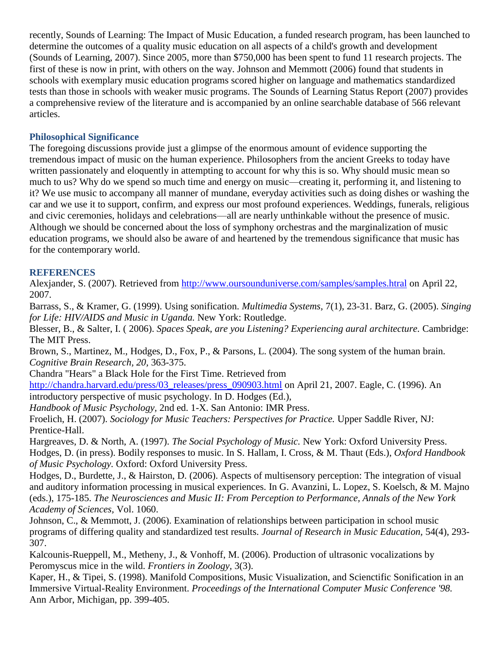recently, Sounds of Learning: The Impact of Music Education, a funded research program, has been launched to determine the outcomes of a quality music education on all aspects of a child's growth and development (Sounds of Learning, 2007). Since 2005, more than \$750,000 has been spent to fund 11 research projects. The first of these is now in print, with others on the way. Johnson and Memmott (2006) found that students in schools with exemplary music education programs scored higher on language and mathematics standardized tests than those in schools with weaker music programs. The Sounds of Learning Status Report (2007) provides a comprehensive review of the literature and is accompanied by an online searchable database of 566 relevant articles.

# **Philosophical Significance**

The foregoing discussions provide just a glimpse of the enormous amount of evidence supporting the tremendous impact of music on the human experience. Philosophers from the ancient Greeks to today have written passionately and eloquently in attempting to account for why this is so. Why should music mean so much to us? Why do we spend so much time and energy on music—creating it, performing it, and listening to it? We use music to accompany all manner of mundane, everyday activities such as doing dishes or washing the car and we use it to support, confirm, and express our most profound experiences. Weddings, funerals, religious and civic ceremonies, holidays and celebrations—all are nearly unthinkable without the presence of music. Although we should be concerned about the loss of symphony orchestras and the marginalization of music education programs, we should also be aware of and heartened by the tremendous significance that music has for the contemporary world.

# **REFERENCES**

Alexjander, S. (2007). Retrieved from<http://www.oursounduniverse.com/samples/samples.htral> on April 22, 2007.

Barrass, S., & Kramer, G. (1999). Using sonification. *Multimedia Systems,* 7(1), 23-31. Barz, G. (2005). *Singing for Life: HIV/AIDS and Music in Uganda.* New York: Routledge.

Blesser, B., & Salter, I. ( 2006). *Spaces Speak, are you Listening? Experiencing aural architecture.* Cambridge: The MIT Press.

Brown, S., Martinez, M., Hodges, D., Fox, P., & Parsons, L. (2004). The song system of the human brain. *Cognitive Brain Research, 20,* 363-375.

Chandra "Hears" a Black Hole for the First Time. Retrieved from

[http://chandra.harvard.edu/press/03\\_releases/press\\_090903.html](http://chandra.harvard.edu/press/03_releases/press_090903.html) on April 21, 2007. Eagle, C. (1996). An introductory perspective of music psychology. In D. Hodges (Ed.),

*Handbook of Music Psychology,* 2nd ed. 1-X. San Antonio: IMR Press.

Froelich, H. (2007). *Sociology for Music Teachers: Perspectives for Practice.* Upper Saddle River, NJ: Prentice-Hall.

Hargreaves, D. & North, A. (1997). *The Social Psychology of Music.* New York: Oxford University Press. Hodges, D. (in press). Bodily responses to music. In S. Hallam, I. Cross, & M. Thaut (Eds.), *Oxford Handbook of Music Psychology.* Oxford: Oxford University Press.

Hodges, D., Burdette, J., & Hairston, D. (2006). Aspects of multisensory perception: The integration of visual and auditory information processing in musical experiences. In G. Avanzini, L. Lopez, S. Koelsch, & M. Majno (eds.), 175-185. *The Neurosciences and Music II: From Perception to Performance, Annals of the New York Academy of Sciences,* Vol. 1060.

Johnson, C., & Memmott, J. (2006). Examination of relationships between participation in school music programs of differing quality and standardized test results. *Journal of Research in Music Education,* 54(4), 293- 307.

Kalcounis-Rueppell, M., Metheny, J., & Vonhoff, M. (2006). Production of ultrasonic vocalizations by Peromyscus mice in the wild. *Frontiers in Zoology,* 3(3).

Kaper, H., & Tipei, S. (1998). Manifold Compositions, Music Visualization, and Scienctific Sonification in an Immersive Virtual-Reality Environment. *Proceedings of the International Computer Music Conference '98.*  Ann Arbor, Michigan, pp. 399-405.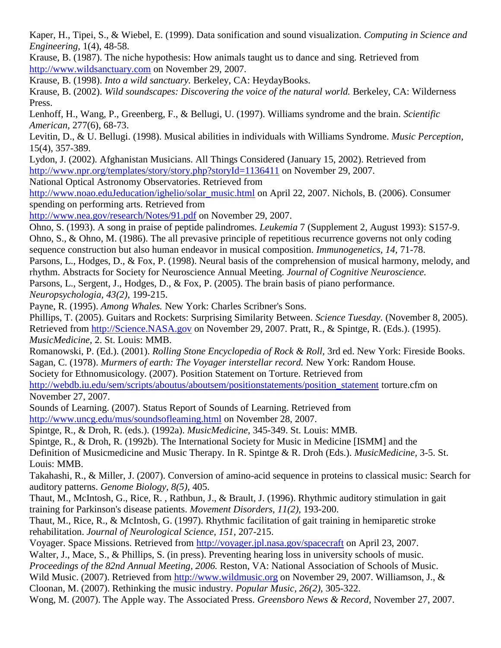Kaper, H., Tipei, S., & Wiebel, E. (1999). Data sonification and sound visualization. *Computing in Science and Engineering,* 1(4), 48-58.

Krause, B. (1987). The niche hypothesis: How animals taught us to dance and sing. Retrieved from [http://www.wildsanctuary.com](http://www.wildsanctuary.com/) on November 29, 2007.

Krause, B. (1998). *Into a wild sanctuary.* Berkeley, CA: HeydayBooks.

Krause, B. (2002). *Wild soundscapes: Discovering the voice of the natural world.* Berkeley, CA: Wilderness Press.

Lenhoff, H., Wang, P., Greenberg, F., & Bellugi, U. (1997). Williams syndrome and the brain. *Scientific American,* 277(6), 68-73.

Levitin, D., & U. Bellugi. (1998). Musical abilities in individuals with Williams Syndrome. *Music Perception,*  15(4), 357-389.

Lydon, J. (2002). Afghanistan Musicians. All Things Considered (January 15, 2002). Retrieved from <http://www.npr.org/templates/story/story.php?storyId=1136411> on November 29, 2007.

National Optical Astronomy Observatories. Retrieved from

[http://www.noao.eduJeducation/ighelio/solar\\_music.html](http://www.noao.edujeducation/ighelio/solar_music.html) on April 22, 2007. Nichols, B. (2006). Consumer spending on performing arts. Retrieved from

<http://www.nea.gov/research/Notes/91.pdf> on November 29, 2007.

Ohno, S. (1993). A song in praise of peptide palindromes. *Leukemia* 7 (Supplement 2, August 1993): S157-9. Ohno, S., & Ohno, M. (1986). The all prevasive principle of repetitious recurrence governs not only coding sequence construction but also human endeavor in musical composition. *Immunogenetics, 14,* 71-78. Parsons, L., Hodges, D., & Fox, P. (1998). Neural basis of the comprehension of musical harmony, melody, and rhythm. Abstracts for Society for Neuroscience Annual Meeting. *Journal of Cognitive Neuroscience.*

Parsons, L., Sergent, J., Hodges, D., & Fox, P. (2005). The brain basis of piano performance. *Neuropsychologia, 43(2),* 199-215.

Payne, R. (1995). *Among Whales.* New York: Charles Scribner's Sons.

Phillips, T. (2005). Guitars and Rockets: Surprising Similarity Between. *Science Tuesday.* (November 8, 2005). Retrieved from [http://Science.NASA.gov](http://science.nasa.gov/) on November 29, 2007. Pratt, R., & Spintge, R. (Eds.). (1995). *MusicMedicine,* 2. St. Louis: MMB.

Romanowski, P. (Ed.). (2001). *Rolling Stone Encyclopedia of Rock & Roll,* 3rd ed. New York: Fireside Books. Sagan, C. (1978). *Murmers of earth: The Voyager interstellar record.* New York: Random House.

Society for Ethnomusicology. (2007). Position Statement on Torture. Retrieved from

http://webdb.iu.edu/sem/scripts/aboutus/aboutsem/positionstatements/position statement torture.cfm on November 27, 2007.

Sounds of Learning. (2007). Status Report of Sounds of Learning. Retrieved from <http://www.uncg.edu/mus/soundsofleaming.html> on November 28, 2007.

Spintge, R., & Droh, R. (eds.). (1992a). *MusicMedicine,* 345-349. St. Louis: MMB.

Spintge, R., & Droh, R. (1992b). The International Society for Music in Medicine [ISMM] and the Definition of Musicmedicine and Music Therapy. In R. Spintge & R. Droh (Eds.). *MusicMedicine,* 3-5. St. Louis: MMB.

Takahashi, R., & Miller, J. (2007). Conversion of amino-acid sequence in proteins to classical music: Search for auditory patterns. *Genome Biology, 8(5),* 405.

Thaut, M., McIntosh, G., Rice, R. , Rathbun, J., & Brault, J. (1996). Rhythmic auditory stimulation in gait training for Parkinson's disease patients. *Movement Disorders, 11(2),* 193-200.

Thaut, M., Rice, R., & McIntosh, G. (1997). Rhythmic facilitation of gait training in hemiparetic stroke rehabilitation. *Journal of Neurological Science, 151,* 207-215.

Voyager. Space Missions. Retrieved from<http://voyager.jpl.nasa.gov/spacecraft> on April 23, 2007.

Walter, J., Mace, S., & Phillips, S. (in press). Preventing hearing loss in university schools of music. *Proceedings of the 82nd Annual Meeting, 2006.* Reston, VA: National Association of Schools of Music. Wild Music. (2007). Retrieved from [http://www.wildmusic.org](http://www.wildmusic.org/) on November 29, 2007. Williamson, J., & Cloonan, M. (2007). Rethinking the music industry. *Popular Music, 26(2),* 305-322.

Wong, M. (2007). The Apple way. The Associated Press. *Greensboro News & Record,* November 27, 2007.